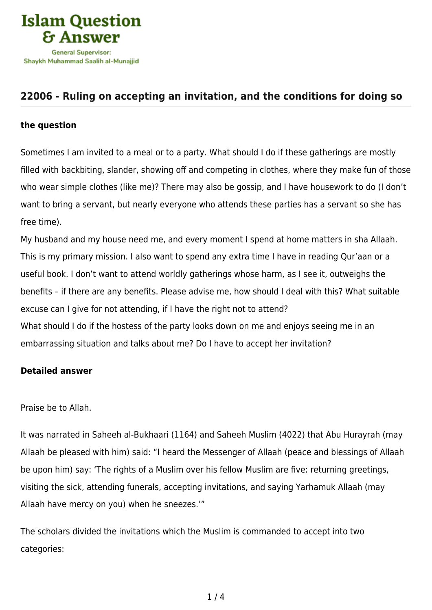

## **[22006 - Ruling on accepting an invitation, and the conditions for doing so](https://islamqa.com/en/answers/22006/ruling-on-accepting-an-invitation-and-the-conditions-for-doing-so)**

## **the question**

Sometimes I am invited to a meal or to a party. What should I do if these gatherings are mostly filled with backbiting, slander, showing off and competing in clothes, where they make fun of those who wear simple clothes (like me)? There may also be gossip, and I have housework to do (I don't want to bring a servant, but nearly everyone who attends these parties has a servant so she has free time).

My husband and my house need me, and every moment I spend at home matters in sha Allaah. This is my primary mission. I also want to spend any extra time I have in reading Qur'aan or a useful book. I don't want to attend worldly gatherings whose harm, as I see it, outweighs the benefits – if there are any benefits. Please advise me, how should I deal with this? What suitable excuse can I give for not attending, if I have the right not to attend? What should I do if the hostess of the party looks down on me and enjoys seeing me in an embarrassing situation and talks about me? Do I have to accept her invitation?

## **Detailed answer**

## Praise be to Allah.

It was narrated in Saheeh al-Bukhaari (1164) and Saheeh Muslim (4022) that Abu Hurayrah (may Allaah be pleased with him) said: "I heard the Messenger of Allaah (peace and blessings of Allaah be upon him) say: 'The rights of a Muslim over his fellow Muslim are five: returning greetings, visiting the sick, attending funerals, accepting invitations, and saying Yarhamuk Allaah (may Allaah have mercy on you) when he sneezes.'"

The scholars divided the invitations which the Muslim is commanded to accept into two categories: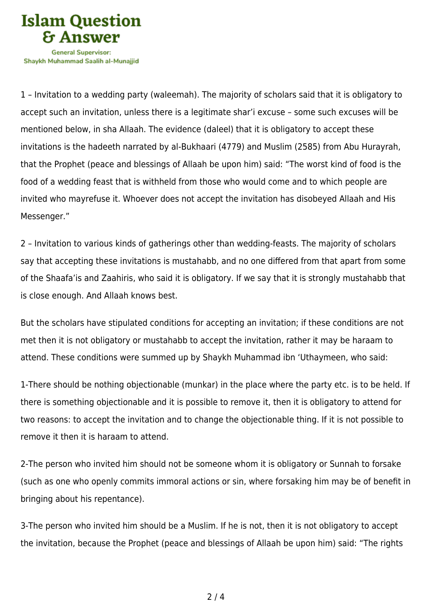

1 – Invitation to a wedding party (waleemah). The majority of scholars said that it is obligatory to accept such an invitation, unless there is a legitimate shar'i excuse – some such excuses will be mentioned below, in sha Allaah. The evidence (daleel) that it is obligatory to accept these invitations is the hadeeth narrated by al-Bukhaari (4779) and Muslim (2585) from Abu Hurayrah, that the Prophet (peace and blessings of Allaah be upon him) said: "The worst kind of food is the food of a wedding feast that is withheld from those who would come and to which people are invited who mayrefuse it. Whoever does not accept the invitation has disobeyed Allaah and His Messenger."

2 – Invitation to various kinds of gatherings other than wedding-feasts. The majority of scholars say that accepting these invitations is mustahabb, and no one differed from that apart from some of the Shaafa'is and Zaahiris, who said it is obligatory. If we say that it is strongly mustahabb that is close enough. And Allaah knows best.

But the scholars have stipulated conditions for accepting an invitation; if these conditions are not met then it is not obligatory or mustahabb to accept the invitation, rather it may be haraam to attend. These conditions were summed up by Shaykh Muhammad ibn 'Uthaymeen, who said:

1-There should be nothing objectionable (munkar) in the place where the party etc. is to be held. If there is something objectionable and it is possible to remove it, then it is obligatory to attend for two reasons: to accept the invitation and to change the objectionable thing. If it is not possible to remove it then it is haraam to attend.

2-The person who invited him should not be someone whom it is obligatory or Sunnah to forsake (such as one who openly commits immoral actions or sin, where forsaking him may be of benefit in bringing about his repentance).

3-The person who invited him should be a Muslim. If he is not, then it is not obligatory to accept the invitation, because the Prophet (peace and blessings of Allaah be upon him) said: "The rights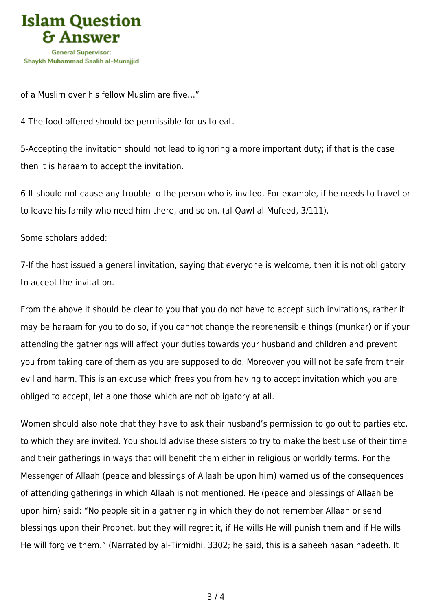

of a Muslim over his fellow Muslim are five…"

4-The food offered should be permissible for us to eat.

5-Accepting the invitation should not lead to ignoring a more important duty; if that is the case then it is haraam to accept the invitation.

6-It should not cause any trouble to the person who is invited. For example, if he needs to travel or to leave his family who need him there, and so on. (al-Qawl al-Mufeed, 3/111).

Some scholars added:

7-If the host issued a general invitation, saying that everyone is welcome, then it is not obligatory to accept the invitation.

From the above it should be clear to you that you do not have to accept such invitations, rather it may be haraam for you to do so, if you cannot change the reprehensible things (munkar) or if your attending the gatherings will affect your duties towards your husband and children and prevent you from taking care of them as you are supposed to do. Moreover you will not be safe from their evil and harm. This is an excuse which frees you from having to accept invitation which you are obliged to accept, let alone those which are not obligatory at all.

Women should also note that they have to ask their husband's permission to go out to parties etc. to which they are invited. You should advise these sisters to try to make the best use of their time and their gatherings in ways that will benefit them either in religious or worldly terms. For the Messenger of Allaah (peace and blessings of Allaah be upon him) warned us of the consequences of attending gatherings in which Allaah is not mentioned. He (peace and blessings of Allaah be upon him) said: "No people sit in a gathering in which they do not remember Allaah or send blessings upon their Prophet, but they will regret it, if He wills He will punish them and if He wills He will forgive them." (Narrated by al-Tirmidhi, 3302; he said, this is a saheeh hasan hadeeth. It